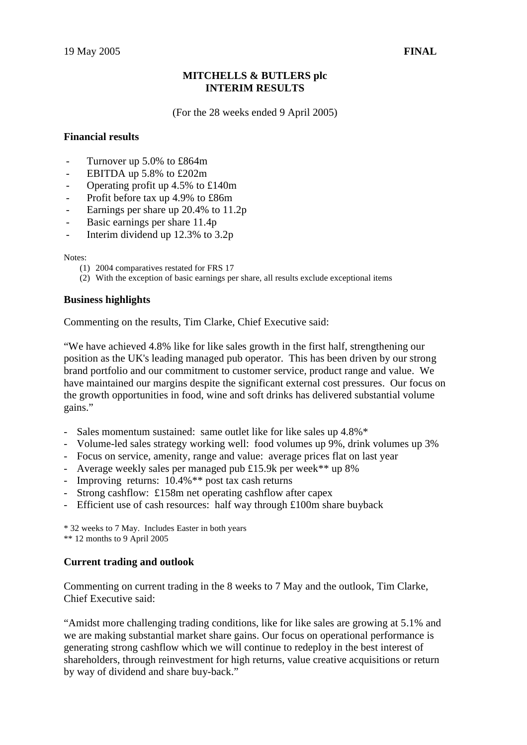# **MITCHELLS & BUTLERS plc INTERIM RESULTS**

(For the 28 weeks ended 9 April 2005)

# **Financial results**

- Turnover up 5.0% to £864m
- EBITDA up 5.8% to £202m
- Operating profit up 4.5% to £140m
- Profit before tax up 4.9% to £86m
- Earnings per share up 20.4% to 11.2p
- Basic earnings per share 11.4p
- Interim dividend up 12.3% to 3.2p

Notes:

- (1) 2004 comparatives restated for FRS 17
- (2) With the exception of basic earnings per share, all results exclude exceptional items

# **Business highlights**

Commenting on the results, Tim Clarke, Chief Executive said:

"We have achieved 4.8% like for like sales growth in the first half, strengthening our position as the UK's leading managed pub operator. This has been driven by our strong brand portfolio and our commitment to customer service, product range and value. We have maintained our margins despite the significant external cost pressures. Our focus on the growth opportunities in food, wine and soft drinks has delivered substantial volume gains."

- Sales momentum sustained: same outlet like for like sales up 4.8%\*
- Volume-led sales strategy working well: food volumes up 9%, drink volumes up 3%
- Focus on service, amenity, range and value: average prices flat on last year
- Average weekly sales per managed pub £15.9k per week\*\* up 8%
- Improving returns:  $10.4\%$ <sup>\*\*</sup> post tax cash returns
- Strong cashflow: £158m net operating cashflow after capex
- Efficient use of cash resources: half way through £100m share buyback

\* 32 weeks to 7 May. Includes Easter in both years

\*\* 12 months to 9 April 2005

## **Current trading and outlook**

Commenting on current trading in the 8 weeks to 7 May and the outlook, Tim Clarke, Chief Executive said:

"Amidst more challenging trading conditions, like for like sales are growing at 5.1% and we are making substantial market share gains. Our focus on operational performance is generating strong cashflow which we will continue to redeploy in the best interest of shareholders, through reinvestment for high returns, value creative acquisitions or return by way of dividend and share buy-back."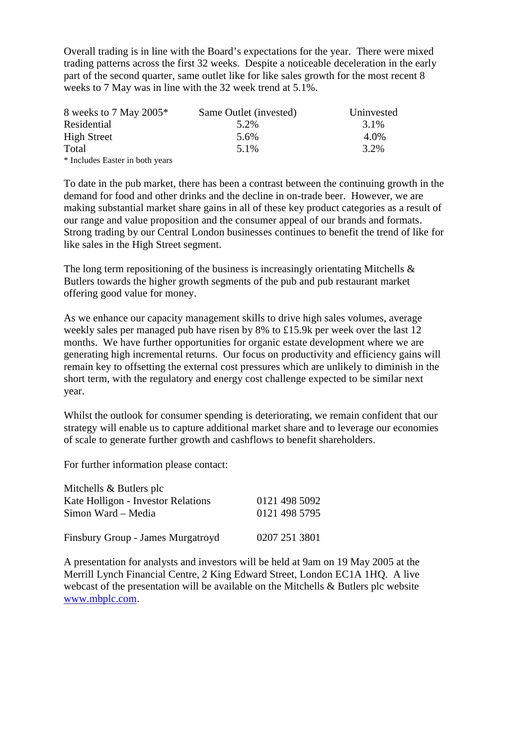Overall trading is in line with the Board's expectations for the year. There were mixed trading patterns across the first 32 weeks. Despite a noticeable deceleration in the early part of the second quarter, same outlet like for like sales growth for the most recent 8 weeks to 7 May was in line with the 32 week trend at 5.1%.

| 8 weeks to 7 May 2005 $*$       | Same Outlet (invested) | Uninvested |
|---------------------------------|------------------------|------------|
| Residential                     | 5.2%                   | 3.1%       |
| <b>High Street</b>              | 5.6%                   | 4.0%       |
| Total                           | 5.1%                   | 3.2%       |
| * Includes Easter in both years |                        |            |

To date in the pub market, there has been a contrast between the continuing growth in the demand for food and other drinks and the decline in on-trade beer. However, we are making substantial market share gains in all of these key product categories as a result of our range and value proposition and the consumer appeal of our brands and formats. Strong trading by our Central London businesses continues to benefit the trend of like for like sales in the High Street segment.

The long term repositioning of the business is increasingly orientating Mitchells  $\&$ Butlers towards the higher growth segments of the pub and pub restaurant market offering good value for money.

As we enhance our capacity management skills to drive high sales volumes, average weekly sales per managed pub have risen by 8% to £15.9k per week over the last 12 months. We have further opportunities for organic estate development where we are generating high incremental returns. Our focus on productivity and efficiency gains will remain key to offsetting the external cost pressures which are unlikely to diminish in the short term, with the regulatory and energy cost challenge expected to be similar next year.

Whilst the outlook for consumer spending is deteriorating, we remain confident that our strategy will enable us to capture additional market share and to leverage our economies of scale to generate further growth and cashflows to benefit shareholders.

For further information please contact:

| Mitchells $&$ Butlers plc          |               |
|------------------------------------|---------------|
| Kate Holligon - Investor Relations | 0121 498 5092 |
| Simon Ward – Media                 | 0121 498 5795 |
| Finsbury Group - James Murgatroyd  | 0207 251 3801 |

A presentation for analysts and investors will be held at 9am on 19 May 2005 at the Merrill Lynch Financial Centre, 2 King Edward Street, London EC1A 1HQ. A live webcast of the presentation will be available on the Mitchells & Butlers plc website www.mbplc.com.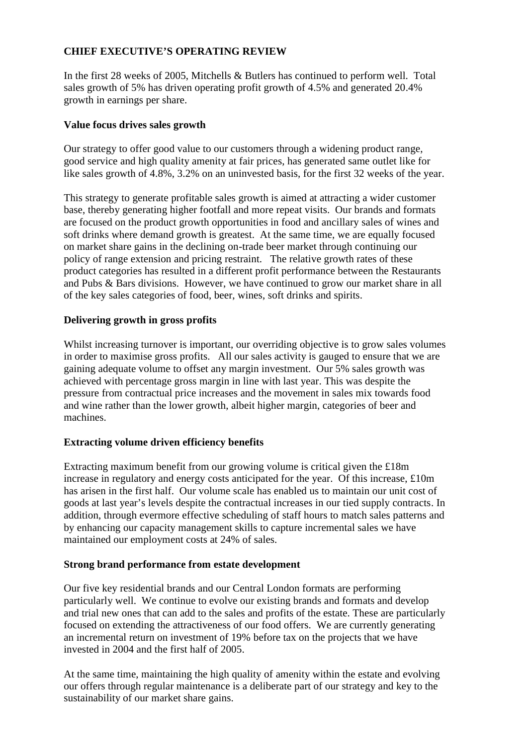# **CHIEF EXECUTIVE'S OPERATING REVIEW**

In the first 28 weeks of 2005, Mitchells & Butlers has continued to perform well. Total sales growth of 5% has driven operating profit growth of 4.5% and generated 20.4% growth in earnings per share.

# **Value focus drives sales growth**

Our strategy to offer good value to our customers through a widening product range, good service and high quality amenity at fair prices, has generated same outlet like for like sales growth of 4.8%, 3.2% on an uninvested basis, for the first 32 weeks of the year.

This strategy to generate profitable sales growth is aimed at attracting a wider customer base, thereby generating higher footfall and more repeat visits. Our brands and formats are focused on the product growth opportunities in food and ancillary sales of wines and soft drinks where demand growth is greatest. At the same time, we are equally focused on market share gains in the declining on-trade beer market through continuing our policy of range extension and pricing restraint. The relative growth rates of these product categories has resulted in a different profit performance between the Restaurants and Pubs & Bars divisions. However, we have continued to grow our market share in all of the key sales categories of food, beer, wines, soft drinks and spirits.

# **Delivering growth in gross profits**

Whilst increasing turnover is important, our overriding objective is to grow sales volumes in order to maximise gross profits. All our sales activity is gauged to ensure that we are gaining adequate volume to offset any margin investment. Our 5% sales growth was achieved with percentage gross margin in line with last year. This was despite the pressure from contractual price increases and the movement in sales mix towards food and wine rather than the lower growth, albeit higher margin, categories of beer and machines.

# **Extracting volume driven efficiency benefits**

Extracting maximum benefit from our growing volume is critical given the £18m increase in regulatory and energy costs anticipated for the year. Of this increase, £10m has arisen in the first half. Our volume scale has enabled us to maintain our unit cost of goods at last year's levels despite the contractual increases in our tied supply contracts. In addition, through evermore effective scheduling of staff hours to match sales patterns and by enhancing our capacity management skills to capture incremental sales we have maintained our employment costs at 24% of sales.

# **Strong brand performance from estate development**

Our five key residential brands and our Central London formats are performing particularly well. We continue to evolve our existing brands and formats and develop and trial new ones that can add to the sales and profits of the estate. These are particularly focused on extending the attractiveness of our food offers. We are currently generating an incremental return on investment of 19% before tax on the projects that we have invested in 2004 and the first half of 2005.

At the same time, maintaining the high quality of amenity within the estate and evolving our offers through regular maintenance is a deliberate part of our strategy and key to the sustainability of our market share gains.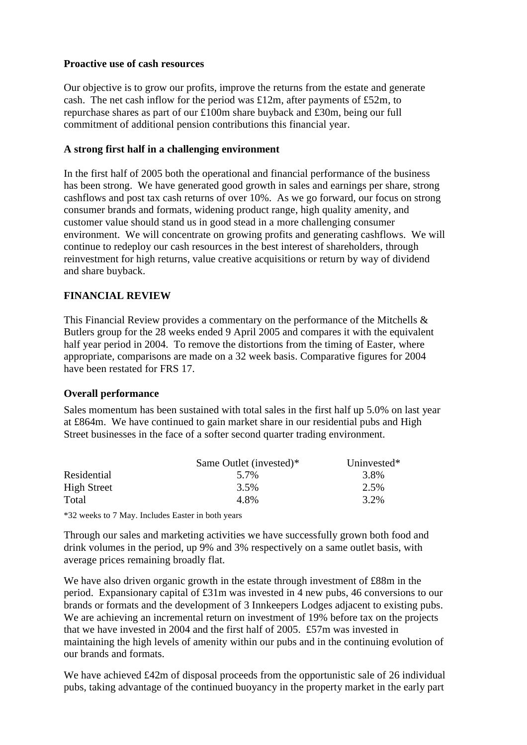# **Proactive use of cash resources**

Our objective is to grow our profits, improve the returns from the estate and generate cash. The net cash inflow for the period was £12m, after payments of £52m, to repurchase shares as part of our £100m share buyback and £30m, being our full commitment of additional pension contributions this financial year.

# **A strong first half in a challenging environment**

In the first half of 2005 both the operational and financial performance of the business has been strong. We have generated good growth in sales and earnings per share, strong cashflows and post tax cash returns of over 10%. As we go forward, our focus on strong consumer brands and formats, widening product range, high quality amenity, and customer value should stand us in good stead in a more challenging consumer environment. We will concentrate on growing profits and generating cashflows. We will continue to redeploy our cash resources in the best interest of shareholders, through reinvestment for high returns, value creative acquisitions or return by way of dividend and share buyback.

# **FINANCIAL REVIEW**

This Financial Review provides a commentary on the performance of the Mitchells & Butlers group for the 28 weeks ended 9 April 2005 and compares it with the equivalent half year period in 2004. To remove the distortions from the timing of Easter, where appropriate, comparisons are made on a 32 week basis. Comparative figures for 2004 have been restated for FRS 17.

# **Overall performance**

Sales momentum has been sustained with total sales in the first half up 5.0% on last year at £864m. We have continued to gain market share in our residential pubs and High Street businesses in the face of a softer second quarter trading environment.

|                    | Same Outlet (invested)* | Uninvested* |
|--------------------|-------------------------|-------------|
| Residential        | 5.7%                    | 3.8%        |
| <b>High Street</b> | 3.5%                    | 2.5%        |
| Total              | 4.8%                    | 3.2%        |

\*32 weeks to 7 May. Includes Easter in both years

Through our sales and marketing activities we have successfully grown both food and drink volumes in the period, up 9% and 3% respectively on a same outlet basis, with average prices remaining broadly flat.

We have also driven organic growth in the estate through investment of £88m in the period. Expansionary capital of £31m was invested in 4 new pubs, 46 conversions to our brands or formats and the development of 3 Innkeepers Lodges adjacent to existing pubs. We are achieving an incremental return on investment of 19% before tax on the projects that we have invested in 2004 and the first half of 2005. £57m was invested in maintaining the high levels of amenity within our pubs and in the continuing evolution of our brands and formats.

We have achieved £42m of disposal proceeds from the opportunistic sale of 26 individual pubs, taking advantage of the continued buoyancy in the property market in the early part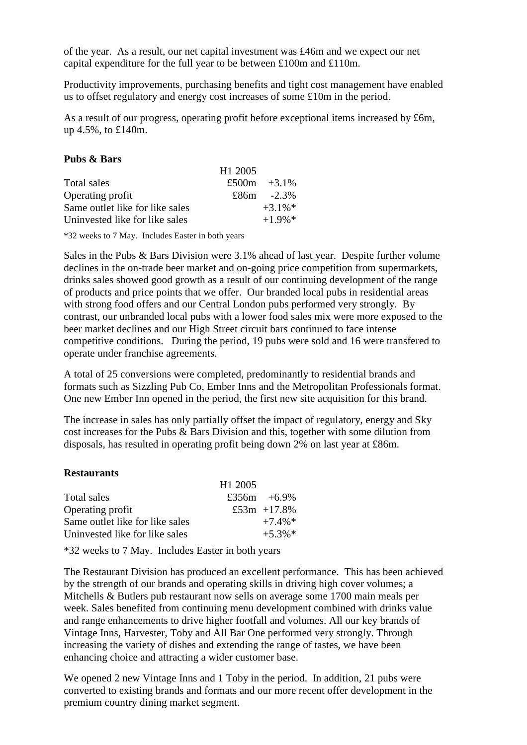of the year. As a result, our net capital investment was £46m and we expect our net capital expenditure for the full year to be between £100m and £110m.

Productivity improvements, purchasing benefits and tight cost management have enabled us to offset regulatory and energy cost increases of some £10m in the period.

As a result of our progress, operating profit before exceptional items increased by £6m, up 4.5%, to £140m.

 $H1 2005$ 

## **Pubs & Bars**

|                                 | $\pi$ 1. $2003$ |                |
|---------------------------------|-----------------|----------------|
| Total sales                     |                 | £500m $+3.1\%$ |
| Operating profit                |                 | £86m $-2.3\%$  |
| Same outlet like for like sales |                 | $+3.1\%$       |
| Uninvested like for like sales  |                 | $+1.9\%$ *     |

\*32 weeks to 7 May. Includes Easter in both years

Sales in the Pubs & Bars Division were 3.1% ahead of last year. Despite further volume declines in the on-trade beer market and on-going price competition from supermarkets, drinks sales showed good growth as a result of our continuing development of the range of products and price points that we offer. Our branded local pubs in residential areas with strong food offers and our Central London pubs performed very strongly. By contrast, our unbranded local pubs with a lower food sales mix were more exposed to the beer market declines and our High Street circuit bars continued to face intense competitive conditions. During the period, 19 pubs were sold and 16 were transfered to operate under franchise agreements.

A total of 25 conversions were completed, predominantly to residential brands and formats such as Sizzling Pub Co, Ember Inns and the Metropolitan Professionals format. One new Ember Inn opened in the period, the first new site acquisition for this brand.

The increase in sales has only partially offset the impact of regulatory, energy and Sky cost increases for the Pubs & Bars Division and this, together with some dilution from disposals, has resulted in operating profit being down 2% on last year at £86m.

## **Restaurants**

|                                 | H <sub>1</sub> 2005 |                  |
|---------------------------------|---------------------|------------------|
| Total sales                     |                     | £356m $+6.9\%$   |
| Operating profit                |                     | £53 $m + 17.8\%$ |
| Same outlet like for like sales |                     | $+7.4\%*$        |
| Uninvested like for like sales  |                     | $+5.3\%$ *       |

\*32 weeks to 7 May. Includes Easter in both years

The Restaurant Division has produced an excellent performance. This has been achieved by the strength of our brands and operating skills in driving high cover volumes; a Mitchells & Butlers pub restaurant now sells on average some 1700 main meals per week. Sales benefited from continuing menu development combined with drinks value and range enhancements to drive higher footfall and volumes. All our key brands of Vintage Inns, Harvester, Toby and All Bar One performed very strongly. Through increasing the variety of dishes and extending the range of tastes, we have been enhancing choice and attracting a wider customer base.

We opened 2 new Vintage Inns and 1 Toby in the period. In addition, 21 pubs were converted to existing brands and formats and our more recent offer development in the premium country dining market segment.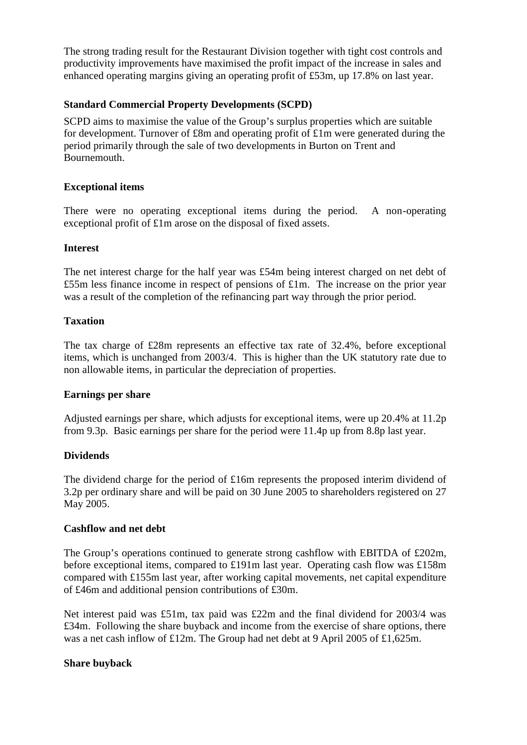The strong trading result for the Restaurant Division together with tight cost controls and productivity improvements have maximised the profit impact of the increase in sales and enhanced operating margins giving an operating profit of £53m, up 17.8% on last year.

# **Standard Commercial Property Developments (SCPD)**

SCPD aims to maximise the value of the Group's surplus properties which are suitable for development. Turnover of £8m and operating profit of £1m were generated during the period primarily through the sale of two developments in Burton on Trent and Bournemouth.

# **Exceptional items**

There were no operating exceptional items during the period. A non-operating exceptional profit of £1m arose on the disposal of fixed assets.

# **Interest**

The net interest charge for the half year was £54m being interest charged on net debt of £55m less finance income in respect of pensions of £1m. The increase on the prior year was a result of the completion of the refinancing part way through the prior period.

# **Taxation**

The tax charge of £28m represents an effective tax rate of 32.4%, before exceptional items, which is unchanged from 2003/4. This is higher than the UK statutory rate due to non allowable items, in particular the depreciation of properties.

# **Earnings per share**

Adjusted earnings per share, which adjusts for exceptional items, were up 20.4% at 11.2p from 9.3p. Basic earnings per share for the period were 11.4p up from 8.8p last year.

# **Dividends**

The dividend charge for the period of  $£16m$  represents the proposed interim dividend of 3.2p per ordinary share and will be paid on 30 June 2005 to shareholders registered on 27 May 2005.

# **Cashflow and net debt**

The Group's operations continued to generate strong cashflow with EBITDA of £202m, before exceptional items, compared to £191m last year. Operating cash flow was £158m compared with £155m last year, after working capital movements, net capital expenditure of £46m and additional pension contributions of £30m.

Net interest paid was £51m, tax paid was £22m and the final dividend for 2003/4 was £34m. Following the share buyback and income from the exercise of share options, there was a net cash inflow of £12m. The Group had net debt at 9 April 2005 of £1,625m.

# **Share buyback**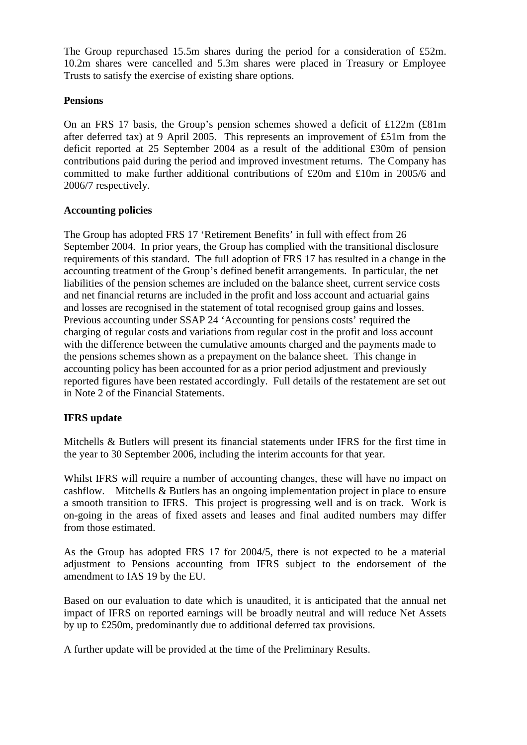The Group repurchased 15.5m shares during the period for a consideration of £52m. 10.2m shares were cancelled and 5.3m shares were placed in Treasury or Employee Trusts to satisfy the exercise of existing share options.

# **Pensions**

On an FRS 17 basis, the Group's pension schemes showed a deficit of £122m (£81m after deferred tax) at 9 April 2005. This represents an improvement of £51m from the deficit reported at 25 September 2004 as a result of the additional £30m of pension contributions paid during the period and improved investment returns. The Company has committed to make further additional contributions of £20m and £10m in 2005/6 and 2006/7 respectively.

# **Accounting policies**

The Group has adopted FRS 17 'Retirement Benefits' in full with effect from 26 September 2004. In prior years, the Group has complied with the transitional disclosure requirements of this standard. The full adoption of FRS 17 has resulted in a change in the accounting treatment of the Group's defined benefit arrangements. In particular, the net liabilities of the pension schemes are included on the balance sheet, current service costs and net financial returns are included in the profit and loss account and actuarial gains and losses are recognised in the statement of total recognised group gains and losses. Previous accounting under SSAP 24 'Accounting for pensions costs' required the charging of regular costs and variations from regular cost in the profit and loss account with the difference between the cumulative amounts charged and the payments made to the pensions schemes shown as a prepayment on the balance sheet. This change in accounting policy has been accounted for as a prior period adjustment and previously reported figures have been restated accordingly. Full details of the restatement are set out in Note 2 of the Financial Statements.

# **IFRS update**

Mitchells & Butlers will present its financial statements under IFRS for the first time in the year to 30 September 2006, including the interim accounts for that year.

Whilst IFRS will require a number of accounting changes, these will have no impact on cashflow. Mitchells & Butlers has an ongoing implementation project in place to ensure a smooth transition to IFRS. This project is progressing well and is on track. Work is on-going in the areas of fixed assets and leases and final audited numbers may differ from those estimated.

As the Group has adopted FRS 17 for 2004/5, there is not expected to be a material adjustment to Pensions accounting from IFRS subject to the endorsement of the amendment to IAS 19 by the EU.

Based on our evaluation to date which is unaudited, it is anticipated that the annual net impact of IFRS on reported earnings will be broadly neutral and will reduce Net Assets by up to £250m, predominantly due to additional deferred tax provisions.

A further update will be provided at the time of the Preliminary Results.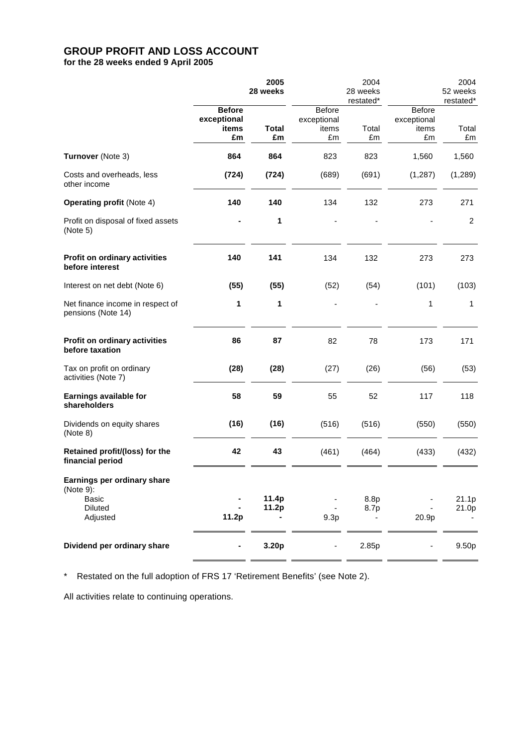# **GROUP PROFIT AND LOSS ACCOUNT**

**for the 28 weeks ended 9 April 2005**

|                                                                                 | 2005<br>28 weeks                            |                    |                                      | 2004<br>28 weeks<br>restated* |                                      | 2004<br>52 weeks<br>restated* |
|---------------------------------------------------------------------------------|---------------------------------------------|--------------------|--------------------------------------|-------------------------------|--------------------------------------|-------------------------------|
|                                                                                 | <b>Before</b><br>exceptional<br>items<br>£m | <b>Total</b><br>£m | Before<br>exceptional<br>items<br>£m | Total<br>£m                   | Before<br>exceptional<br>items<br>£m | Total<br>£m                   |
| Turnover (Note 3)                                                               | 864                                         | 864                | 823                                  | 823                           | 1,560                                | 1,560                         |
| Costs and overheads, less<br>other income                                       | (724)                                       | (724)              | (689)                                | (691)                         | (1, 287)                             | (1, 289)                      |
| <b>Operating profit (Note 4)</b>                                                | 140                                         | 140                | 134                                  | 132                           | 273                                  | 271                           |
| Profit on disposal of fixed assets<br>(Note 5)                                  |                                             | 1                  |                                      |                               |                                      | 2                             |
| Profit on ordinary activities<br>before interest                                | 140                                         | 141                | 134                                  | 132                           | 273                                  | 273                           |
| Interest on net debt (Note 6)                                                   | (55)                                        | (55)               | (52)                                 | (54)                          | (101)                                | (103)                         |
| Net finance income in respect of<br>pensions (Note 14)                          | 1                                           | 1                  |                                      |                               | 1                                    | 1                             |
| Profit on ordinary activities<br>before taxation                                | 86                                          | 87                 | 82                                   | 78                            | 173                                  | 171                           |
| Tax on profit on ordinary<br>activities (Note 7)                                | (28)                                        | (28)               | (27)                                 | (26)                          | (56)                                 | (53)                          |
| Earnings available for<br>shareholders                                          | 58                                          | 59                 | 55                                   | 52                            | 117                                  | 118                           |
| Dividends on equity shares<br>(Note 8)                                          | (16)                                        | (16)               | (516)                                | (516)                         | (550)                                | (550)                         |
| Retained profit/(loss) for the<br>financial period                              | 42                                          | 43                 | (461)                                | (464)                         | (433)                                | (432)                         |
| Earnings per ordinary share<br>(Note 9):<br>Basic<br><b>Diluted</b><br>Adjusted | 11.2p                                       | 11.4p<br>11.2p     | 9.3p                                 | 8.8p<br>8.7p                  | 20.9p                                | 21.1p<br>21.0p                |
| Dividend per ordinary share                                                     |                                             | 3.20p              | $\frac{1}{2}$                        | 2.85p                         |                                      | 9.50p                         |

\* Restated on the full adoption of FRS 17 'Retirement Benefits' (see Note 2).

All activities relate to continuing operations.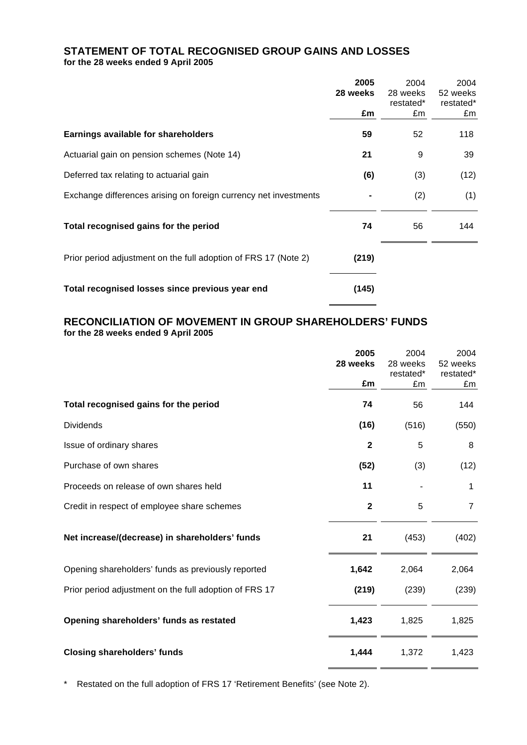# **STATEMENT OF TOTAL RECOGNISED GROUP GAINS AND LOSSES for the 28 weeks ended 9 April 2005**

|                                                                  | 2005     | 2004      | 2004      |
|------------------------------------------------------------------|----------|-----------|-----------|
|                                                                  | 28 weeks | 28 weeks  | 52 weeks  |
|                                                                  |          | restated* | restated* |
|                                                                  | £m       | £m        | £m        |
| Earnings available for shareholders                              | 59       | 52        | 118       |
| Actuarial gain on pension schemes (Note 14)                      | 21       | 9         | 39        |
| Deferred tax relating to actuarial gain                          | (6)      | (3)       | (12)      |
| Exchange differences arising on foreign currency net investments |          | (2)       | (1)       |
| Total recognised gains for the period                            | 74       | 56        | 144       |
| Prior period adjustment on the full adoption of FRS 17 (Note 2)  | (219)    |           |           |
| Total recognised losses since previous year end                  | (145)    |           |           |

<u> Liberatura de la conte</u>

 $\overline{\phantom{0}}$ 

# **RECONCILIATION OF MOVEMENT IN GROUP SHAREHOLDERS' FUNDS for the 28 weeks ended 9 April 2005**

|                                                        | 2005           | 2004      | 2004           |
|--------------------------------------------------------|----------------|-----------|----------------|
|                                                        | 28 weeks       | 28 weeks  | 52 weeks       |
|                                                        |                | restated* | restated*      |
|                                                        | £m             | £m        | £m             |
| Total recognised gains for the period                  | 74             | 56        | 144            |
| <b>Dividends</b>                                       | (16)           | (516)     | (550)          |
| Issue of ordinary shares                               | $\overline{2}$ | 5         | 8              |
| Purchase of own shares                                 | (52)           | (3)       | (12)           |
| Proceeds on release of own shares held                 | 11             |           | 1              |
| Credit in respect of employee share schemes            | $\overline{2}$ | 5         | $\overline{7}$ |
| Net increase/(decrease) in shareholders' funds         | 21             | (453)     | (402)          |
| Opening shareholders' funds as previously reported     | 1,642          | 2,064     | 2,064          |
| Prior period adjustment on the full adoption of FRS 17 | (219)          | (239)     | (239)          |
| Opening shareholders' funds as restated                | 1,423          | 1,825     | 1,825          |
| <b>Closing shareholders' funds</b>                     | 1,444          | 1,372     | 1,423          |

\* Restated on the full adoption of FRS 17 'Retirement Benefits' (see Note 2).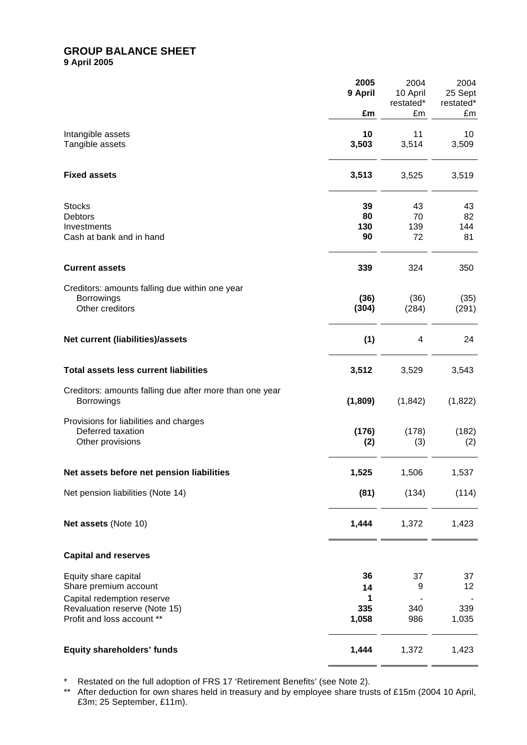## **GROUP BALANCE SHEET 9 April 2005**

|                                                                              | 2005<br>9 April<br>£m | 2004<br>10 April<br>restated*<br>£m | 2004<br>25 Sept<br>restated*<br>£m |
|------------------------------------------------------------------------------|-----------------------|-------------------------------------|------------------------------------|
|                                                                              | 10                    | 11                                  | 10                                 |
| Intangible assets<br>Tangible assets                                         | 3,503                 | 3,514                               | 3,509                              |
| <b>Fixed assets</b>                                                          | 3,513                 | 3,525                               | 3,519                              |
| <b>Stocks</b><br>Debtors                                                     | 39<br>80              | 43<br>70                            | 43<br>82                           |
| Investments                                                                  | 130                   | 139                                 | 144                                |
| Cash at bank and in hand                                                     | 90                    | 72                                  | 81                                 |
| <b>Current assets</b>                                                        | 339                   | 324                                 | 350                                |
| Creditors: amounts falling due within one year                               |                       |                                     |                                    |
| <b>Borrowings</b><br>Other creditors                                         | (36)<br>(304)         | (36)<br>(284)                       | (35)<br>(291)                      |
| Net current (liabilities)/assets                                             | (1)                   | 4                                   | 24                                 |
| <b>Total assets less current liabilities</b>                                 | 3,512                 | 3,529                               | 3,543                              |
| Creditors: amounts falling due after more than one year<br><b>Borrowings</b> | (1,809)               | (1, 842)                            | (1,822)                            |
| Provisions for liabilities and charges                                       |                       |                                     |                                    |
| Deferred taxation<br>Other provisions                                        | (176)<br>(2)          | (178)<br>(3)                        | (182)<br>(2)                       |
| Net assets before net pension liabilities                                    | 1,525                 | 1,506                               | 1,537                              |
| Net pension liabilities (Note 14)                                            | (81)                  | (134)                               | (114)                              |
| Net assets (Note 10)                                                         | 1,444                 | 1,372                               | 1,423                              |
| <b>Capital and reserves</b>                                                  |                       |                                     |                                    |
| Equity share capital                                                         | 36                    | 37                                  | 37                                 |
| Share premium account                                                        | 14                    | 9                                   | 12                                 |
| Capital redemption reserve<br>Revaluation reserve (Note 15)                  | 1<br>335              | 340                                 | 339                                |
| Profit and loss account **                                                   | 1,058                 | 986                                 | 1,035                              |
| Equity shareholders' funds                                                   | 1,444                 | 1,372                               | 1,423                              |

\* Restated on the full adoption of FRS 17 'Retirement Benefits' (see Note 2).

\*\* After deduction for own shares held in treasury and by employee share trusts of £15m (2004 10 April, £3m; 25 September, £11m).

 $\overline{\phantom{0}}$ 

 $\overline{\phantom{a}}$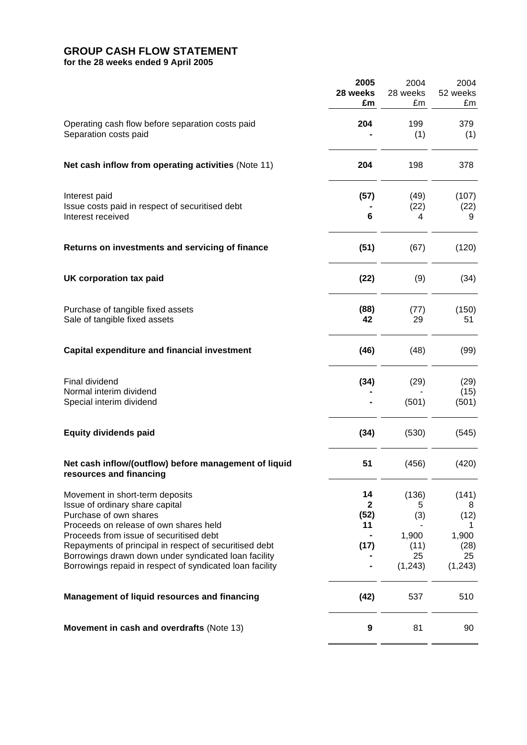# **GROUP CASH FLOW STATEMENT**

**for the 28 weeks ended 9 April 2005**

|                                                                                                   | 2005<br>28 weeks     | 2004<br>28 weeks | 2004<br>52 weeks |
|---------------------------------------------------------------------------------------------------|----------------------|------------------|------------------|
|                                                                                                   | £m                   | £m               | £m               |
| Operating cash flow before separation costs paid                                                  | 204                  | 199              | 379              |
| Separation costs paid                                                                             |                      | (1)              | (1)              |
| Net cash inflow from operating activities (Note 11)                                               | 204                  | 198              | 378              |
| Interest paid                                                                                     | (57)                 | (49)             | (107)            |
| Issue costs paid in respect of securitised debt<br>Interest received                              | 6                    | (22)<br>4        | (22)<br>9        |
| Returns on investments and servicing of finance                                                   | (51)                 | (67)             | (120)            |
| UK corporation tax paid                                                                           | (22)                 | (9)              | (34)             |
| Purchase of tangible fixed assets<br>Sale of tangible fixed assets                                | (88)<br>42           | (77)<br>29       | (150)<br>51      |
|                                                                                                   |                      |                  |                  |
| <b>Capital expenditure and financial investment</b>                                               | (46)                 | (48)             | (99)             |
| Final dividend                                                                                    | (34)                 | (29)             | (29)             |
| Normal interim dividend<br>Special interim dividend                                               |                      | (501)            | (15)<br>(501)    |
| <b>Equity dividends paid</b>                                                                      | (34)                 | (530)            | (545)            |
| Net cash inflow/(outflow) before management of liquid<br>resources and financing                  | 51                   | (456)            | (420)            |
| Movement in short-term deposits                                                                   | 14                   | (136)            | (141)            |
| Issue of ordinary share capital<br>Purchase of own shares                                         | $\mathbf{2}$<br>(52) | 5<br>(3)         | 8<br>(12)        |
| Proceeds on release of own shares held                                                            | 11                   |                  | 1                |
| Proceeds from issue of securitised debt<br>Repayments of principal in respect of securitised debt | (17)                 | 1,900<br>(11)    | 1,900<br>(28)    |
| Borrowings drawn down under syndicated loan facility                                              |                      | 25               | 25               |
| Borrowings repaid in respect of syndicated loan facility                                          |                      | (1, 243)         | (1, 243)         |
| <b>Management of liquid resources and financing</b>                                               | (42)                 | 537              | 510              |
| Movement in cash and overdrafts (Note 13)                                                         | 9                    | 81               | 90               |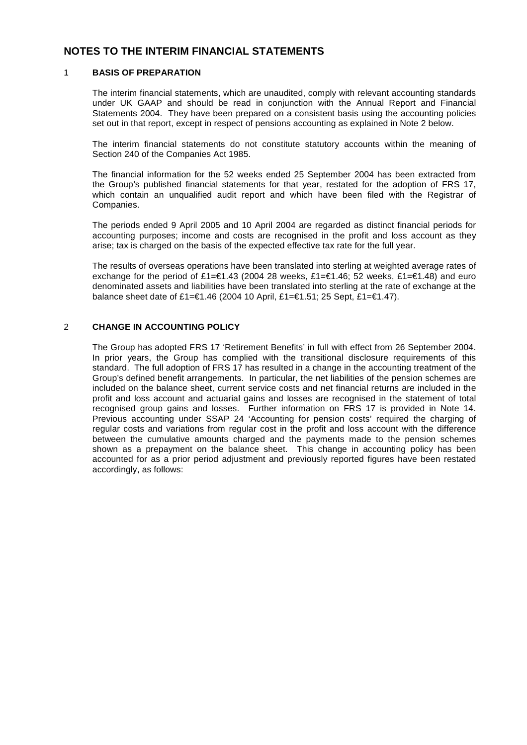# **NOTES TO THE INTERIM FINANCIAL STATEMENTS**

#### 1 **BASIS OF PREPARATION**

The interim financial statements, which are unaudited, comply with relevant accounting standards under UK GAAP and should be read in conjunction with the Annual Report and Financial Statements 2004. They have been prepared on a consistent basis using the accounting policies set out in that report, except in respect of pensions accounting as explained in Note 2 below.

The interim financial statements do not constitute statutory accounts within the meaning of Section 240 of the Companies Act 1985.

The financial information for the 52 weeks ended 25 September 2004 has been extracted from the Group's published financial statements for that year, restated for the adoption of FRS 17, which contain an unqualified audit report and which have been filed with the Registrar of Companies.

The periods ended 9 April 2005 and 10 April 2004 are regarded as distinct financial periods for accounting purposes; income and costs are recognised in the profit and loss account as they arise; tax is charged on the basis of the expected effective tax rate for the full year.

The results of overseas operations have been translated into sterling at weighted average rates of exchange for the period of £1=€1.43 (2004 28 weeks, £1=€1.46; 52 weeks, £1=€1.48) and euro denominated assets and liabilities have been translated into sterling at the rate of exchange at the balance sheet date of £1=€1.46 (2004 10 April, £1=€1.51; 25 Sept, £1=€1.47).

#### 2 **CHANGE IN ACCOUNTING POLICY**

The Group has adopted FRS 17 'Retirement Benefits' in full with effect from 26 September 2004. In prior years, the Group has complied with the transitional disclosure requirements of this standard. The full adoption of FRS 17 has resulted in a change in the accounting treatment of the Group's defined benefit arrangements. In particular, the net liabilities of the pension schemes are included on the balance sheet, current service costs and net financial returns are included in the profit and loss account and actuarial gains and losses are recognised in the statement of total recognised group gains and losses. Further information on FRS 17 is provided in Note 14. Previous accounting under SSAP 24 'Accounting for pension costs' required the charging of regular costs and variations from regular cost in the profit and loss account with the difference between the cumulative amounts charged and the payments made to the pension schemes shown as a prepayment on the balance sheet. This change in accounting policy has been accounted for as a prior period adjustment and previously reported figures have been restated accordingly, as follows: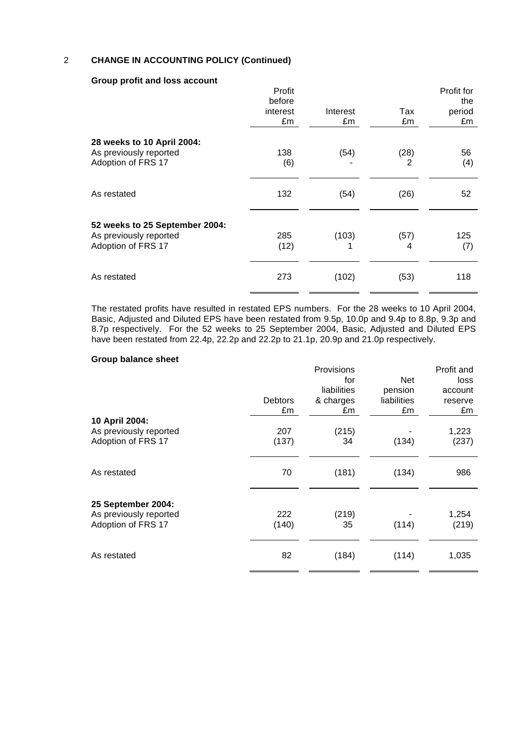## 2 **CHANGE IN ACCOUNTING POLICY (Continued)**

|                                                                                | Profit<br>before<br>interest<br>£m | Interest<br>£m | Tax<br>£m | Profit for<br>the<br>period<br>£m |
|--------------------------------------------------------------------------------|------------------------------------|----------------|-----------|-----------------------------------|
| 28 weeks to 10 April 2004:<br>As previously reported<br>Adoption of FRS 17     | 138<br>(6)                         | (54)           | (28)<br>2 | 56<br>(4)                         |
| As restated                                                                    | 132                                | (54)           | (26)      | 52                                |
| 52 weeks to 25 September 2004:<br>As previously reported<br>Adoption of FRS 17 | 285<br>(12)                        | (103)<br>1     | (57)<br>4 | 125<br>(7)                        |
| As restated                                                                    | 273                                | (102)          | (53)      | 118                               |

#### **Group profit and loss account**

The restated profits have resulted in restated EPS numbers. For the 28 weeks to 10 April 2004, Basic, Adjusted and Diluted EPS have been restated from 9.5p, 10.0p and 9.4p to 8.8p, 9.3p and 8.7p respectively. For the 52 weeks to 25 September 2004, Basic, Adjusted and Diluted EPS have been restated from 22.4p, 22.2p and 22.2p to 21.1p, 20.9p and 21.0p respectively.

#### **Group balance sheet**

|                        |                | Provisions  |             | Profit and |
|------------------------|----------------|-------------|-------------|------------|
|                        |                | for         | Net         | loss       |
|                        |                | liabilities | pension     | account    |
|                        | <b>Debtors</b> | & charges   | liabilities | reserve    |
|                        | £m             | £m          | £m          | £m         |
| 10 April 2004:         |                |             |             |            |
| As previously reported | 207            | (215)       |             | 1,223      |
| Adoption of FRS 17     | (137)          | 34          | (134)       | (237)      |
|                        |                |             |             |            |
| As restated            | 70             |             |             | 986        |
|                        |                | (181)       | (134)       |            |
|                        |                |             |             |            |
| 25 September 2004:     |                |             |             |            |
| As previously reported | 222            | (219)       |             | 1,254      |
| Adoption of FRS 17     | (140)          | 35          | (114)       | (219)      |
|                        |                |             |             |            |
| As restated            | 82             | (184)       | (114)       | 1,035      |
|                        |                |             |             |            |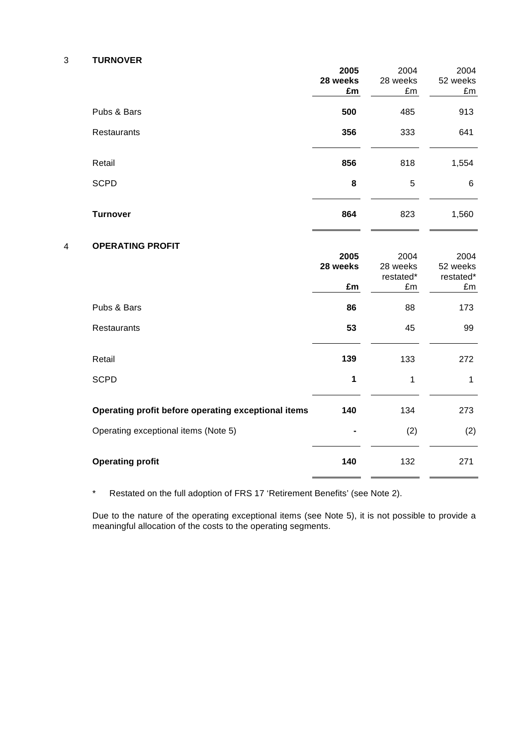#### 3 **TURNOVER**

|   |                                                     | 2005<br>28 weeks<br>£m | 2004<br>28 weeks<br>£m              | 2004<br>52 weeks<br>£m              |
|---|-----------------------------------------------------|------------------------|-------------------------------------|-------------------------------------|
|   | Pubs & Bars                                         | 500                    | 485                                 | 913                                 |
|   | Restaurants                                         | 356                    | 333                                 | 641                                 |
|   | Retail                                              | 856                    | 818                                 | 1,554                               |
|   | <b>SCPD</b>                                         | 8                      | 5                                   | 6                                   |
|   | <b>Turnover</b>                                     | 864                    | 823                                 | 1,560                               |
| 4 | <b>OPERATING PROFIT</b>                             | 2005<br>28 weeks<br>£m | 2004<br>28 weeks<br>restated*<br>£m | 2004<br>52 weeks<br>restated*<br>£m |
|   | Pubs & Bars                                         | 86                     | 88                                  | 173                                 |
|   | Restaurants                                         | 53                     | 45                                  | 99                                  |
|   | Retail                                              | 139                    | 133                                 | 272                                 |
|   | <b>SCPD</b>                                         | 1                      | 1                                   | $\mathbf{1}$                        |
|   | Operating profit before operating exceptional items | 140                    | 134                                 | 273                                 |
|   | Operating exceptional items (Note 5)                |                        | (2)                                 | (2)                                 |
|   | <b>Operating profit</b>                             | 140                    | 132                                 | 271                                 |

\* Restated on the full adoption of FRS 17 'Retirement Benefits' (see Note 2).

Due to the nature of the operating exceptional items (see Note 5), it is not possible to provide a meaningful allocation of the costs to the operating segments.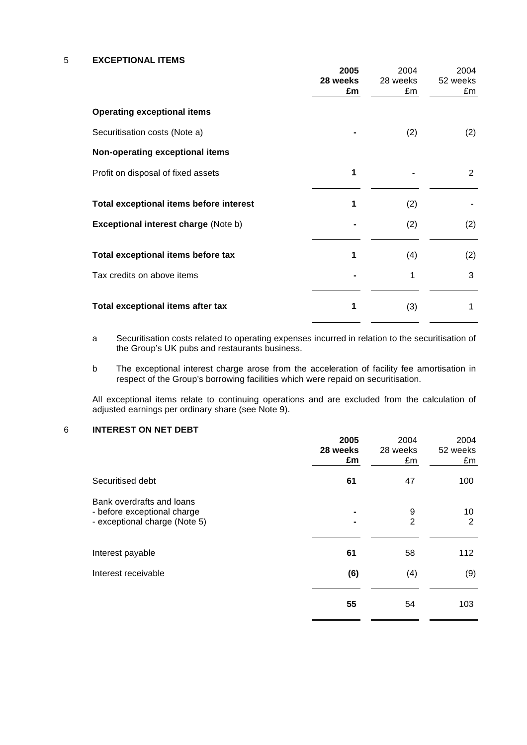5 **EXCEPTIONAL ITEMS**

|                                             | 2005<br>28 weeks<br>£m | 2004<br>28 weeks<br>£m | 2004<br>52 weeks<br>£m |
|---------------------------------------------|------------------------|------------------------|------------------------|
| <b>Operating exceptional items</b>          |                        |                        |                        |
| Securitisation costs (Note a)               |                        | (2)                    | (2)                    |
| Non-operating exceptional items             |                        |                        |                        |
| Profit on disposal of fixed assets          | 1                      |                        | 2                      |
| Total exceptional items before interest     | 1                      | (2)                    |                        |
| <b>Exceptional interest charge (Note b)</b> |                        | (2)                    | (2)                    |
| Total exceptional items before tax          | 1                      | (4)                    | (2)                    |
| Tax credits on above items                  |                        | 1                      | 3                      |
| Total exceptional items after tax           | 1                      | (3)                    | 1                      |

- a Securitisation costs related to operating expenses incurred in relation to the securitisation of the Group's UK pubs and restaurants business.
- b The exceptional interest charge arose from the acceleration of facility fee amortisation in respect of the Group's borrowing facilities which were repaid on securitisation.

All exceptional items relate to continuing operations and are excluded from the calculation of adjusted earnings per ordinary share (see Note 9).

#### 6 **INTEREST ON NET DEBT**

|                                                                                           | 2005<br>28 weeks<br>£m | 2004<br>28 weeks<br>£m | 2004<br>52 weeks<br>£m |
|-------------------------------------------------------------------------------------------|------------------------|------------------------|------------------------|
| Securitised debt                                                                          | 61                     | 47                     | 100                    |
| Bank overdrafts and loans<br>- before exceptional charge<br>- exceptional charge (Note 5) |                        | 9<br>$\overline{2}$    | 10<br>2                |
| Interest payable                                                                          | 61                     | 58                     | 112                    |
| Interest receivable                                                                       | (6)                    | (4)                    | (9)                    |
|                                                                                           | 55                     | 54                     | 103                    |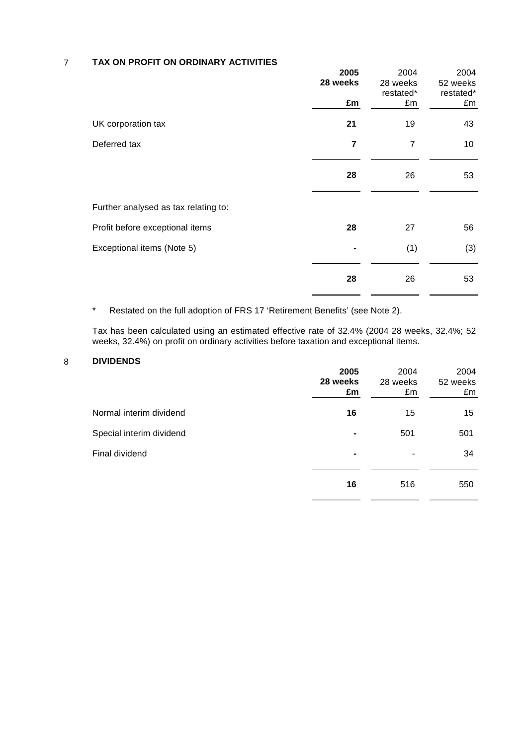## 7 **TAX ON PROFIT ON ORDINARY ACTIVITIES**

|                                      | 2005<br>28 weeks<br>£m | 2004<br>28 weeks<br>restated*<br>£m | 2004<br>52 weeks<br>restated*<br>£m |
|--------------------------------------|------------------------|-------------------------------------|-------------------------------------|
| UK corporation tax                   | 21                     | 19                                  | 43                                  |
| Deferred tax                         | $\overline{7}$         | 7                                   | 10                                  |
|                                      | 28                     | 26                                  | 53                                  |
| Further analysed as tax relating to: |                        |                                     |                                     |
| Profit before exceptional items      | 28                     | 27                                  | 56                                  |
| Exceptional items (Note 5)           |                        | (1)                                 | (3)                                 |
|                                      | 28                     | 26                                  | 53                                  |

\* Restated on the full adoption of FRS 17 'Retirement Benefits' (see Note 2).

Tax has been calculated using an estimated effective rate of 32.4% (2004 28 weeks, 32.4%; 52 weeks, 32.4%) on profit on ordinary activities before taxation and exceptional items.

#### 8 **DIVIDENDS**

|                          | 2005<br>28 weeks<br>£m | 2004<br>28 weeks<br>£m | 2004<br>52 weeks<br>£m |
|--------------------------|------------------------|------------------------|------------------------|
| Normal interim dividend  | 16                     | 15                     | 15                     |
| Special interim dividend | ۰                      | 501                    | 501                    |
| Final dividend           | ۰                      | $\blacksquare$         | 34                     |
|                          | 16                     | 516                    | 550                    |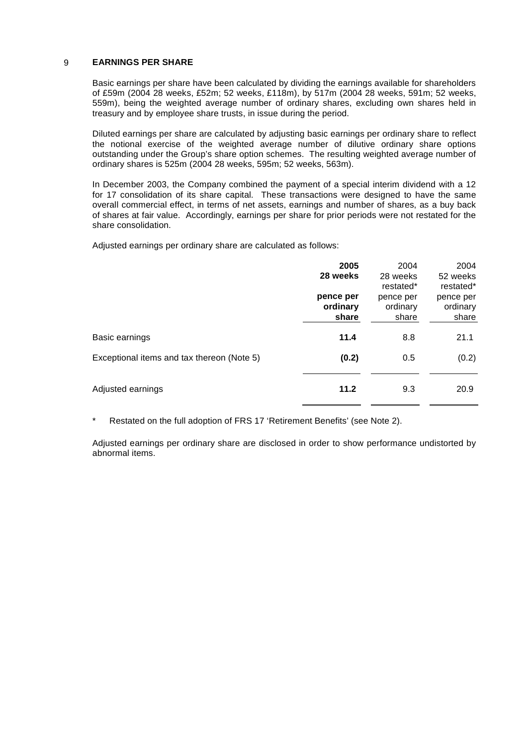## 9 **EARNINGS PER SHARE**

Basic earnings per share have been calculated by dividing the earnings available for shareholders of £59m (2004 28 weeks, £52m; 52 weeks, £118m), by 517m (2004 28 weeks, 591m; 52 weeks, 559m), being the weighted average number of ordinary shares, excluding own shares held in treasury and by employee share trusts, in issue during the period.

Diluted earnings per share are calculated by adjusting basic earnings per ordinary share to reflect the notional exercise of the weighted average number of dilutive ordinary share options outstanding under the Group's share option schemes. The resulting weighted average number of ordinary shares is 525m (2004 28 weeks, 595m; 52 weeks, 563m).

In December 2003, the Company combined the payment of a special interim dividend with a 12 for 17 consolidation of its share capital. These transactions were designed to have the same overall commercial effect, in terms of net assets, earnings and number of shares, as a buy back of shares at fair value. Accordingly, earnings per share for prior periods were not restated for the share consolidation.

Adjusted earnings per ordinary share are calculated as follows:

|                                            | 2005<br>28 weeks               | 2004<br>28 weeks<br>restated*  | 2004<br>52 weeks<br>restated*  |
|--------------------------------------------|--------------------------------|--------------------------------|--------------------------------|
|                                            | pence per<br>ordinary<br>share | pence per<br>ordinary<br>share | pence per<br>ordinary<br>share |
| Basic earnings                             | 11.4                           | 8.8                            | 21.1                           |
| Exceptional items and tax thereon (Note 5) | (0.2)                          | 0.5                            | (0.2)                          |
| Adjusted earnings                          | 11.2                           | 9.3                            | 20.9                           |

\* Restated on the full adoption of FRS 17 'Retirement Benefits' (see Note 2).

Adjusted earnings per ordinary share are disclosed in order to show performance undistorted by abnormal items.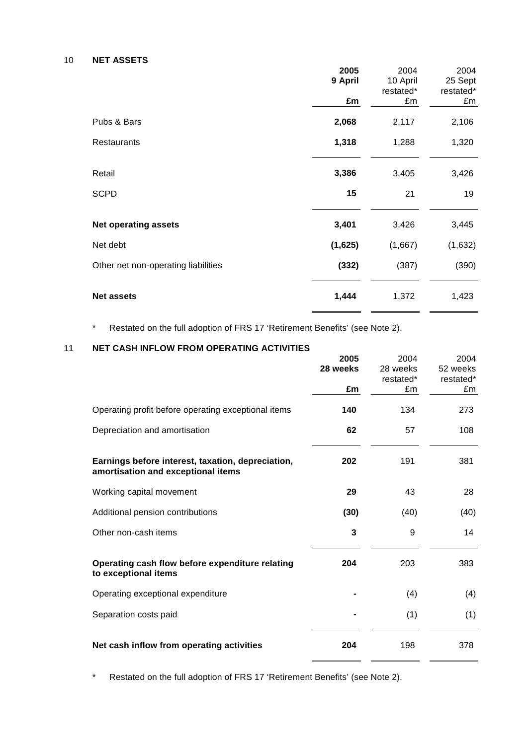#### 10 **NET ASSETS**

|                                     | 2005    | 2004      | 2004      |
|-------------------------------------|---------|-----------|-----------|
|                                     | 9 April | 10 April  | 25 Sept   |
|                                     |         | restated* | restated* |
|                                     | £m      | £m        | £m        |
| Pubs & Bars                         | 2,068   | 2,117     | 2,106     |
| Restaurants                         | 1,318   | 1,288     | 1,320     |
|                                     |         |           |           |
| Retail                              | 3,386   | 3,405     | 3,426     |
| <b>SCPD</b>                         | 15      | 21        | 19        |
| <b>Net operating assets</b>         | 3,401   | 3,426     | 3,445     |
| Net debt                            | (1,625) | (1,667)   | (1,632)   |
| Other net non-operating liabilities | (332)   | (387)     | (390)     |
| <b>Net assets</b>                   | 1,444   | 1,372     | 1,423     |

\* Restated on the full adoption of FRS 17 'Retirement Benefits' (see Note 2).

# 11 **NET CASH INFLOW FROM OPERATING ACTIVITIES**

|                                                                                         | 2005     | 2004      | 2004      |
|-----------------------------------------------------------------------------------------|----------|-----------|-----------|
|                                                                                         | 28 weeks | 28 weeks  | 52 weeks  |
|                                                                                         |          | restated* | restated* |
|                                                                                         | £m       | £m        | £m        |
| Operating profit before operating exceptional items                                     | 140      | 134       | 273       |
| Depreciation and amortisation                                                           | 62       | 57        | 108       |
| Earnings before interest, taxation, depreciation,<br>amortisation and exceptional items | 202      | 191       | 381       |
| Working capital movement                                                                | 29       | 43        | 28        |
| Additional pension contributions                                                        | (30)     | (40)      | (40)      |
| Other non-cash items                                                                    | 3        | 9         | 14        |
| Operating cash flow before expenditure relating<br>to exceptional items                 | 204      | 203       | 383       |
| Operating exceptional expenditure                                                       |          | (4)       | (4)       |
| Separation costs paid                                                                   |          | (1)       | (1)       |
| Net cash inflow from operating activities                                               | 204      | 198       | 378       |

\* Restated on the full adoption of FRS 17 'Retirement Benefits' (see Note 2).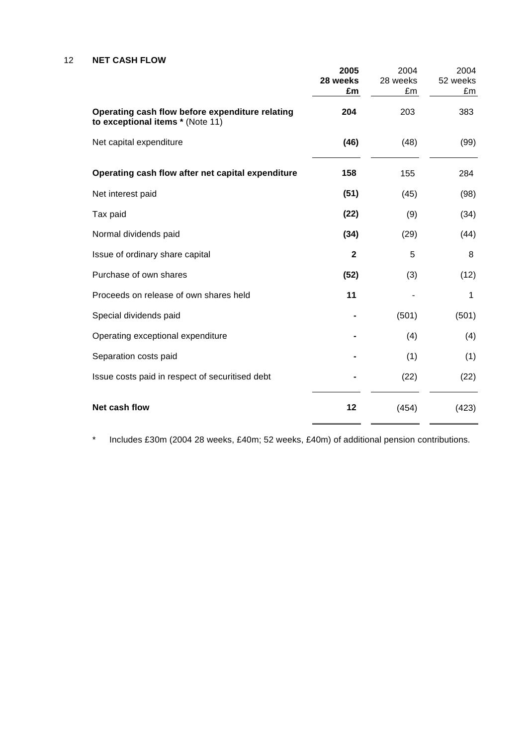## 12 **NET CASH FLOW**

|                                                                                     | 2005         | 2004     | 2004     |
|-------------------------------------------------------------------------------------|--------------|----------|----------|
|                                                                                     | 28 weeks     | 28 weeks | 52 weeks |
|                                                                                     | £m           | £m       | £m       |
| Operating cash flow before expenditure relating<br>to exceptional items * (Note 11) | 204          | 203      | 383      |
| Net capital expenditure                                                             | (46)         | (48)     | (99)     |
| Operating cash flow after net capital expenditure                                   | 158          | 155      | 284      |
| Net interest paid                                                                   | (51)         | (45)     | (98)     |
| Tax paid                                                                            | (22)         | (9)      | (34)     |
| Normal dividends paid                                                               | (34)         | (29)     | (44)     |
| Issue of ordinary share capital                                                     | $\mathbf{2}$ | 5        | 8        |
| Purchase of own shares                                                              | (52)         | (3)      | (12)     |
| Proceeds on release of own shares held                                              | 11           |          | 1        |
| Special dividends paid                                                              |              | (501)    | (501)    |
| Operating exceptional expenditure                                                   |              | (4)      | (4)      |
| Separation costs paid                                                               |              | (1)      | (1)      |
| Issue costs paid in respect of securitised debt                                     |              | (22)     | (22)     |
| Net cash flow                                                                       | 12           | (454)    | (423)    |

\* Includes £30m (2004 28 weeks, £40m; 52 weeks, £40m) of additional pension contributions.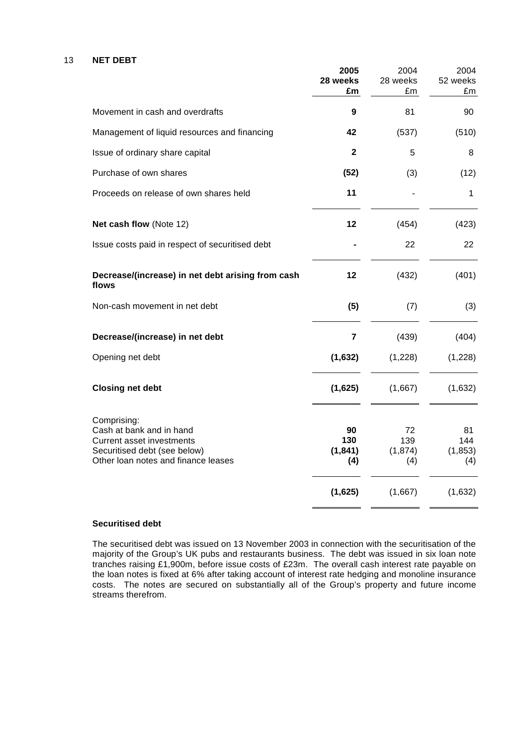#### 13 **NET DEBT**

|                                                                                                                                                    | 2005<br>28 weeks<br>£m       | 2004<br>28 weeks<br>£m       | 2004<br>52 weeks<br>£m       |
|----------------------------------------------------------------------------------------------------------------------------------------------------|------------------------------|------------------------------|------------------------------|
| Movement in cash and overdrafts                                                                                                                    | 9                            | 81                           | 90                           |
| Management of liquid resources and financing                                                                                                       | 42                           | (537)                        | (510)                        |
| Issue of ordinary share capital                                                                                                                    | $\mathbf{2}$                 | 5                            | 8                            |
| Purchase of own shares                                                                                                                             | (52)                         | (3)                          | (12)                         |
| Proceeds on release of own shares held                                                                                                             | 11                           |                              | 1                            |
| Net cash flow (Note 12)                                                                                                                            | 12                           | (454)                        | (423)                        |
| Issue costs paid in respect of securitised debt                                                                                                    |                              | 22                           | 22                           |
| Decrease/(increase) in net debt arising from cash<br>flows                                                                                         | 12                           | (432)                        | (401)                        |
| Non-cash movement in net debt                                                                                                                      | (5)                          | (7)                          | (3)                          |
| Decrease/(increase) in net debt                                                                                                                    | $\overline{7}$               | (439)                        | (404)                        |
| Opening net debt                                                                                                                                   | (1,632)                      | (1,228)                      | (1,228)                      |
| <b>Closing net debt</b>                                                                                                                            | (1,625)                      | (1,667)                      | (1,632)                      |
| Comprising:<br>Cash at bank and in hand<br><b>Current asset investments</b><br>Securitised debt (see below)<br>Other loan notes and finance leases | 90<br>130<br>(1, 841)<br>(4) | 72<br>139<br>(1, 874)<br>(4) | 81<br>144<br>(1, 853)<br>(4) |
|                                                                                                                                                    | (1,625)                      | (1,667)                      | (1,632)                      |

#### **Securitised debt**

The securitised debt was issued on 13 November 2003 in connection with the securitisation of the majority of the Group's UK pubs and restaurants business. The debt was issued in six loan note tranches raising £1,900m, before issue costs of £23m. The overall cash interest rate payable on the loan notes is fixed at 6% after taking account of interest rate hedging and monoline insurance costs. The notes are secured on substantially all of the Group's property and future income streams therefrom.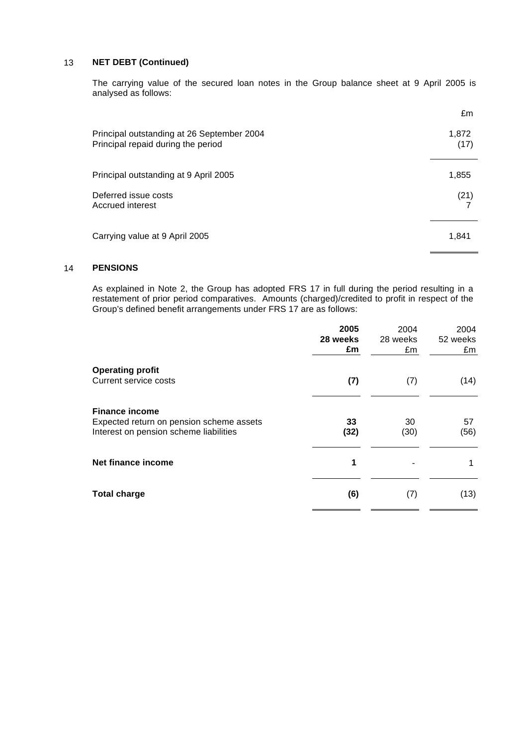#### 13 **NET DEBT (Continued)**

The carrying value of the secured loan notes in the Group balance sheet at 9 April 2005 is analysed as follows:

|                                                                                  | £m            |
|----------------------------------------------------------------------------------|---------------|
| Principal outstanding at 26 September 2004<br>Principal repaid during the period | 1,872<br>(17) |
| Principal outstanding at 9 April 2005                                            | 1,855         |
| Deferred issue costs<br>Accrued interest                                         | (21)          |
| Carrying value at 9 April 2005                                                   | 1,841         |

#### 14 **PENSIONS**

As explained in Note 2, the Group has adopted FRS 17 in full during the period resulting in a restatement of prior period comparatives. Amounts (charged)/credited to profit in respect of the Group's defined benefit arrangements under FRS 17 are as follows:

|                                                                                    | 2005       | 2004       | 2004       |
|------------------------------------------------------------------------------------|------------|------------|------------|
|                                                                                    | 28 weeks   | 28 weeks   | 52 weeks   |
|                                                                                    | £m         | £m         | £m         |
| <b>Operating profit</b>                                                            |            |            |            |
| Current service costs                                                              | (7)        | (7)        | (14)       |
| <b>Finance income</b>                                                              |            |            |            |
| Expected return on pension scheme assets<br>Interest on pension scheme liabilities | 33<br>(32) | 30<br>(30) | 57<br>(56) |
| Net finance income                                                                 | 1          |            |            |
| <b>Total charge</b>                                                                | (6)        | (7)        | (13)       |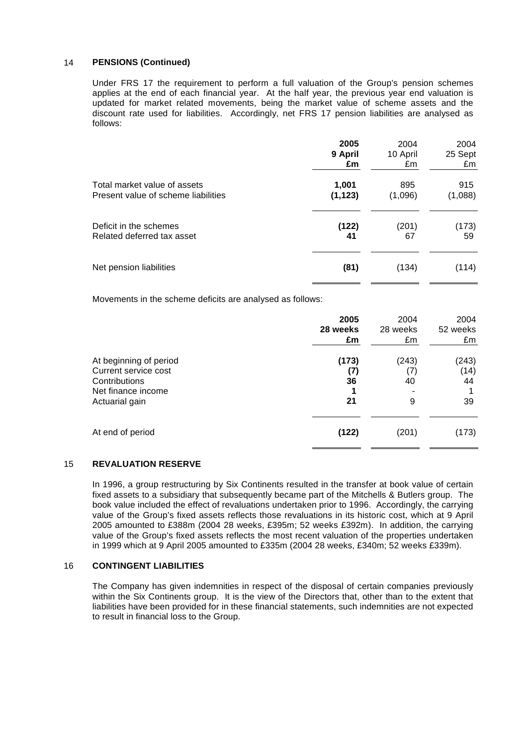#### 14 **PENSIONS (Continued)**

Under FRS 17 the requirement to perform a full valuation of the Group's pension schemes applies at the end of each financial year. At the half year, the previous year end valuation is updated for market related movements, being the market value of scheme assets and the discount rate used for liabilities. Accordingly, net FRS 17 pension liabilities are analysed as follows:

|                                     | 2005     | 2004     | 2004    |
|-------------------------------------|----------|----------|---------|
|                                     | 9 April  | 10 April | 25 Sept |
|                                     | £m       | £m       | £m      |
| Total market value of assets        | 1,001    | 895      | 915     |
| Present value of scheme liabilities | (1, 123) | (1,096)  | (1,088) |
| Deficit in the schemes              | (122)    | (201)    | (173)   |
| Related deferred tax asset          | 41       | 67       | 59      |
| Net pension liabilities             | (81)     | (134)    | (114)   |

Movements in the scheme deficits are analysed as follows:

|                                                                                                         | 2005<br>28 weeks<br>£m   | 2004<br>28 weeks<br>£m  | 2004<br>52 weeks<br>£m    |
|---------------------------------------------------------------------------------------------------------|--------------------------|-------------------------|---------------------------|
| At beginning of period<br>Current service cost<br>Contributions<br>Net finance income<br>Actuarial gain | (173)<br>(7)<br>36<br>21 | (243)<br>(7)<br>40<br>9 | (243)<br>(14)<br>44<br>39 |
| At end of period                                                                                        | (122)                    | (201)                   | (173)                     |

## 15 **REVALUATION RESERVE**

In 1996, a group restructuring by Six Continents resulted in the transfer at book value of certain fixed assets to a subsidiary that subsequently became part of the Mitchells & Butlers group. The book value included the effect of revaluations undertaken prior to 1996. Accordingly, the carrying value of the Group's fixed assets reflects those revaluations in its historic cost, which at 9 April 2005 amounted to £388m (2004 28 weeks, £395m; 52 weeks £392m). In addition, the carrying value of the Group's fixed assets reflects the most recent valuation of the properties undertaken in 1999 which at 9 April 2005 amounted to £335m (2004 28 weeks, £340m; 52 weeks £339m).

## 16 **CONTINGENT LIABILITIES**

The Company has given indemnities in respect of the disposal of certain companies previously within the Six Continents group. It is the view of the Directors that, other than to the extent that liabilities have been provided for in these financial statements, such indemnities are not expected to result in financial loss to the Group.